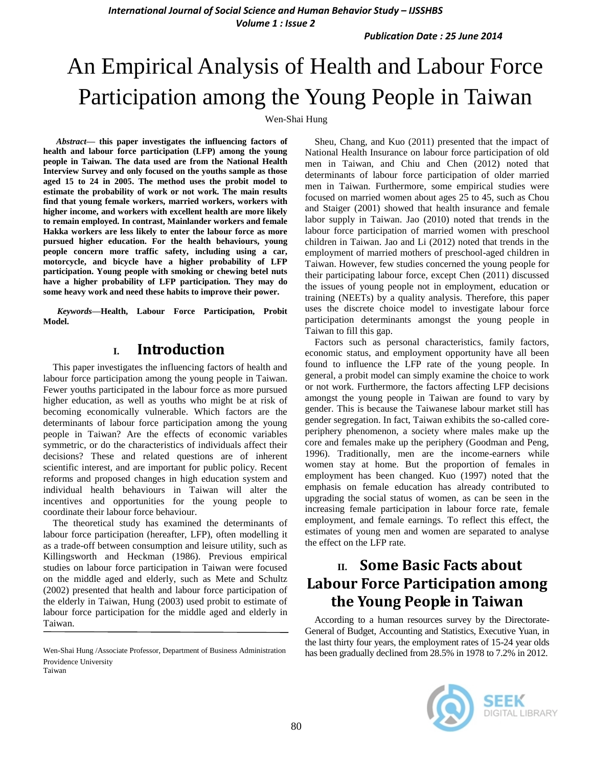**International Journal of Social Science and Human Behavior Study - IJSSHBS** *Volume 1 : Issue 2*

*Publication Date : 25 June 2014*

# An Empirical Analysis of Health and Labour Force Participation among the Young People in Taiwan

Wen-Shai Hung

*Abstract***— this paper investigates the influencing factors of health and labour force participation (LFP) among the young people in Taiwan. The data used are from the National Health Interview Survey and only focused on the youths sample as those aged 15 to 24 in 2005. The method uses the probit model to estimate the probability of work or not work. The main results find that young female workers, married workers, workers with higher income, and workers with excellent health are more likely to remain employed. In contrast, Mainlander workers and female Hakka workers are less likely to enter the labour force as more pursued higher education. For the health behaviours, young people concern more traffic safety, including using a car, motorcycle, and bicycle have a higher probability of LFP participation. Young people with smoking or chewing betel nuts have a higher probability of LFP participation. They may do some heavy work and need these habits to improve their power.**

*Keywords—***Health, Labour Force Participation, Probit Model.**

### **I. Introduction**

This paper investigates the influencing factors of health and labour force participation among the young people in Taiwan. Fewer youths participated in the labour force as more pursued higher education, as well as youths who might be at risk of becoming economically vulnerable. Which factors are the determinants of labour force participation among the young people in Taiwan? Are the effects of economic variables symmetric, or do the characteristics of individuals affect their decisions? These and related questions are of inherent scientific interest, and are important for public policy. Recent reforms and proposed changes in high education system and individual health behaviours in Taiwan will alter the incentives and opportunities for the young people to coordinate their labour force behaviour.

The theoretical study has examined the determinants of labour force participation (hereafter, LFP), often modelling it as a trade-off between consumption and leisure utility, such as Killingsworth and Heckman (1986). Previous empirical studies on labour force participation in Taiwan were focused on the middle aged and elderly, such as Mete and Schultz (2002) presented that health and labour force participation of the elderly in Taiwan, Hung (2003) used probit to estimate of labour force participation for the middle aged and elderly in Taiwan.

Wen-Shai Hung /Associate Professor, Department of Business Administration Providence University Taiwan

Sheu, Chang, and Kuo (2011) presented that the impact of National Health Insurance on labour force participation of old men in Taiwan, and Chiu and Chen (2012) noted that determinants of labour force participation of older married men in Taiwan. Furthermore, some empirical studies were focused on married women about ages 25 to 45, such as Chou and Staiger (2001) showed that health insurance and female labor supply in Taiwan. Jao (2010) noted that trends in the labour force participation of married women with preschool children in Taiwan. Jao and Li (2012) noted that trends in the employment of married mothers of preschool-aged children in Taiwan. However, few studies concerned the young people for their participating labour force, except Chen (2011) discussed the issues of young people not in employment, education or training (NEETs) by a quality analysis. Therefore, this paper uses the discrete choice model to investigate labour force participation determinants amongst the young people in Taiwan to fill this gap.

Factors such as personal characteristics, family factors, economic status, and employment opportunity have all been found to influence the LFP rate of the young people. In general, a probit model can simply examine the choice to work or not work. Furthermore, the factors affecting LFP decisions amongst the young people in Taiwan are found to vary by gender. This is because the Taiwanese labour market still has gender segregation. In fact, Taiwan exhibits the so-called coreperiphery phenomenon, a society where males make up the core and females make up the periphery (Goodman and Peng, 1996). Traditionally, men are the income-earners while women stay at home. But the proportion of females in employment has been changed. Kuo (1997) noted that the emphasis on female education has already contributed to upgrading the social status of women, as can be seen in the increasing female participation in labour force rate, female employment, and female earnings. To reflect this effect, the estimates of young men and women are separated to analyse the effect on the LFP rate.

# **II. Some Basic Facts about Labour Force Participation among the Young People in Taiwan**

According to a human resources survey by the Directorate-General of Budget, Accounting and Statistics, Executive Yuan, in the last thirty four years, the employment rates of 15-24 year olds has been gradually declined from 28.5% in 1978 to 7.2% in 2012.

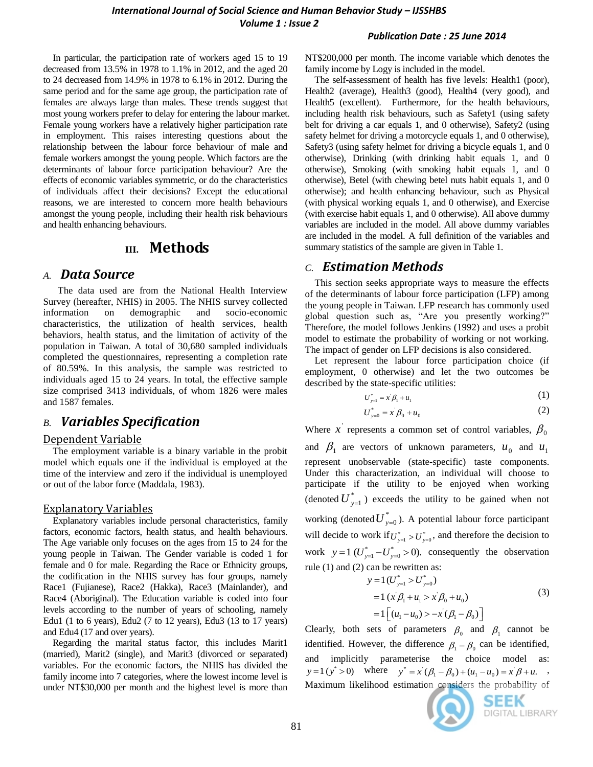#### *Publication Date : 25 June 2014*

In particular, the participation rate of workers aged 15 to 19 decreased from 13.5% in 1978 to 1.1% in 2012, and the aged 20 to 24 decreased from 14.9% in 1978 to 6.1% in 2012. During the same period and for the same age group, the participation rate of females are always large than males. These trends suggest that most young workers prefer to delay for entering the labour market. Female young workers have a relatively higher participation rate in employment. This raises interesting questions about the relationship between the labour force behaviour of male and female workers amongst the young people. Which factors are the determinants of labour force participation behaviour? Are the effects of economic variables symmetric, or do the characteristics of individuals affect their decisions? Except the educational reasons, we are interested to concern more health behaviours amongst the young people, including their health risk behaviours and health enhancing behaviours.

### **III. Methods**

### *A. Data Source*

The data used are from the National Health Interview Survey (hereafter, NHIS) in 2005. The NHIS survey collected information on demographic and socio-economic characteristics, the utilization of health services, health behaviors, health status, and the limitation of activity of the population in Taiwan. A total of 30,680 sampled individuals completed the questionnaires, representing a completion rate of 80.59%. In this analysis, the sample was restricted to individuals aged 15 to 24 years. In total, the effective sample size comprised 3413 individuals, of whom 1826 were males and 1587 females.

### *B. Variables Specification*

#### Dependent Variable

The employment variable is a binary variable in the probit model which equals one if the individual is employed at the time of the interview and zero if the individual is unemployed or out of the labor force (Maddala, 1983).

#### Explanatory Variables

Explanatory variables include personal characteristics, family factors, economic factors, health status, and health behaviours. The Age variable only focuses on the ages from 15 to 24 for the young people in Taiwan. The Gender variable is coded 1 for female and 0 for male. Regarding the Race or Ethnicity groups, the codification in the NHIS survey has four groups, namely Race1 (Fujianese), Race2 (Hakka), Race3 (Mainlander), and Race4 (Aboriginal). The Education variable is coded into four levels according to the number of years of schooling, namely Edu1 (1 to 6 years), Edu2 (7 to 12 years), Edu3 (13 to 17 years) and Edu4 (17 and over years).

Regarding the marital status factor, this includes Marit1 (married), Marit2 (single), and Marit3 (divorced or separated) variables. For the economic factors, the NHIS has divided the family income into 7 categories, where the lowest income level is under NT\$30,000 per month and the highest level is more than NT\$200,000 per month. The income variable which denotes the family income by Logy is included in the model.

The self-assessment of health has five levels: Health1 (poor), Health2 (average), Health3 (good), Health4 (very good), and Health<sub>5</sub> (excellent). Furthermore, for the health behaviours, including health risk behaviours, such as Safety1 (using safety belt for driving a car equals 1, and 0 otherwise), Safety2 (using safety helmet for driving a motorcycle equals 1, and 0 otherwise), Safety3 (using safety helmet for driving a bicycle equals 1, and 0 otherwise), Drinking (with drinking habit equals 1, and 0 otherwise), Smoking (with smoking habit equals 1, and 0 otherwise), Betel (with chewing betel nuts habit equals 1, and 0 otherwise); and health enhancing behaviour, such as Physical (with physical working equals 1, and 0 otherwise), and Exercise (with exercise habit equals 1, and 0 otherwise). All above dummy variables are included in the model. All above dummy variables are included in the model. A full definition of the variables and summary statistics of the sample are given in Table 1.

### *C. Estimation Methods*

This section seeks appropriate ways to measure the effects of the determinants of labour force participation (LFP) among the young people in Taiwan. LFP research has commonly used global question such as, "Are you presently working?" Therefore, the model follows Jenkins (1992) and uses a probit model to estimate the probability of working or not working. The impact of gender on LFP decisions is also considered.

Let represent the labour force participation choice (if employment, 0 otherwise) and let the two outcomes be described by the state-specific utilities:

$$
U_{y=1}^* = x^{\prime} \beta_1 + u_1 \tag{1}
$$

$$
U_{y=0}^* = x^2 \beta_0 + u_0 \tag{2}
$$

Where x represents a common set of control variables,  $\beta_0$ and  $\beta_1$  are vectors of unknown parameters,  $u_0$  and  $u_1$ represent unobservable (state-specific) taste components. Under this characterization, an individual will choose to participate if the utility to be enjoyed when working (denoted  $U^*_{y=1}$  ) exceeds the utility to be gained when not working (denoted  $U^*_{y=0}$ ). A potential labour force participant will decide to work if  $U_{y=1}^* > U_{y=0}^*$ , and therefore the decision to work  $y=1$  ( $U_{y=1}^* - U_{y=0}^* > 0$ ). consequently the observation

rule (1) and (2) can be rewritten as:  
\n
$$
y = 1 (U_{y=1}^{*} > U_{y=0}^{*})
$$
\n
$$
= 1 (x' \beta_{1} + u_{1} > x' \beta_{0} + u_{0})
$$
\n
$$
= 1 [(u_{1} - u_{0}) > -x'(\beta_{1} - \beta_{0})]
$$
\n(3)

Clearly, both sets of parameters  $\beta_0$  and  $\beta_1$  cannot be identified. However, the difference  $\beta_1 - \beta_0$  can be identified, and implicitly parameterise the choice model as:  $y = 1 (y^* > 0)$  where  $y^* = x (\beta_1 - \beta_0) + (u_1 - u_0) = x \beta + u$ . Maximum likelihood estimation considers the probability of

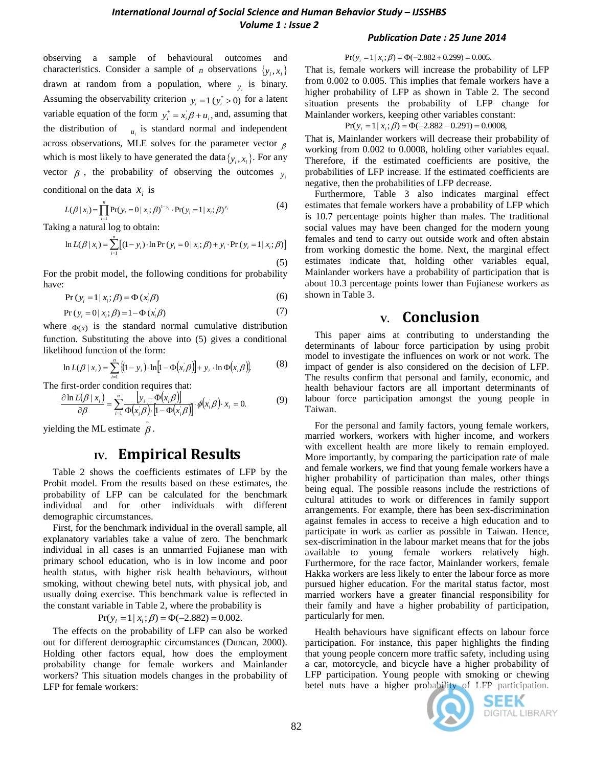observing a sample of behavioural outcomes and characteristics. Consider a sample of *n* observations  $\{y_i, x_i\}$ drawn at random from a population, where  $y_i$  is binary. Assuming the observability criterion  $y_i = 1$  ( $y_i^* > 0$ ) for a latent variable equation of the form  $y_i^* = x_i \beta + u_i$ , and, assuming that the distribution of  $\mu_i$  is standard normal and independent across observations, MLE solves for the parameter vector  $\beta$ which is most likely to have generated the data  $\{y_i, x_i\}$ . For any vector  $\beta$ , the probability of observing the outcomes  $y_i$ 

conditional on the data 
$$
x_i
$$
 is  
\n
$$
L(\beta | x_i) = \prod_{i=1}^n \Pr(y_i = 0 | x_i; \beta)^{1-y_i} \cdot \Pr(y_i = 1 | x_i; \beta)^{y_i}
$$
\n(4)

Taking a natural log to obtain:

$$
\begin{array}{ll}\n\text{as a natural log to obtain:} & \text{is} \\
\text{so} & \text{so} \\
\ln L(\beta | x_i) = \sum_{i=1}^{n} \left[ (1 - y_i) \cdot \ln \Pr(y_i = 0 | x_i; \beta) + y_i \cdot \Pr(y_i = 1 | x_i; \beta) \right] & \text{for} \\
\text{for} \\
\text{if } (5) \text{ as } \n\end{array}
$$

For the probit model, the following conditions for probability have:

$$
Pr(y_i = 1 | x_i; \beta) = \Phi(x_i; \beta)
$$
 (6)

$$
\Pr(y_i = 0 | x_i; \beta) = 1 - \Phi(x_i; \beta)
$$
 (7)

where  $\Phi(x)$  is the standard normal cumulative distribution function. Substituting the above into (5) gives a conditional likelihood function of the form:

$$
\ln L(\beta | x_i) = \sum_{i=1}^n \{(1 - y_i) \cdot \ln[1 - \Phi(x_i/\beta)] + y_i \cdot \ln \Phi(x_i/\beta)\}.
$$
 (8)

The first-order condition requires that:

$$
\frac{\partial \ln L(\beta | x_i)}{\partial \beta} = \sum_{i=1}^{n} \frac{\left[ y_i - \Phi(x_i \beta) \right]}{\Phi(x_i \beta) \cdot \left[ 1 - \Phi(x_i \beta) \right]} \cdot \phi(x_i \beta) \cdot x_i = 0. \tag{9}
$$

yielding the ML estimate  $\tilde{\beta}$ .

## **IV. Empirical Results**

Table 2 shows the coefficients estimates of LFP by the Probit model. From the results based on these estimates, the probability of LFP can be calculated for the benchmark individual and for other individuals with different demographic circumstances.

First, for the benchmark individual in the overall sample, all explanatory variables take a value of zero. The benchmark individual in all cases is an unmarried Fujianese man with primary school education, who is in low income and poor health status, with higher risk health behaviours, without smoking, without chewing betel nuts, with physical job, and usually doing exercise. This benchmark value is reflected in the constant variable in Table 2, where the probability is

$$
Pr(y_i = 1 | x_i; \beta) = \Phi(-2.882) = 0.002.
$$

The effects on the probability of LFP can also be worked out for different demographic circumstances (Duncan, 2000). Holding other factors equal, how does the employment probability change for female workers and Mainlander workers? This situation models changes in the probability of LFP for female workers:

### *Publication Date : 25 June 2014*

 $Pr(y_i = 1 | x_i; \beta) = \Phi(-2.882 + 0.299) = 0.005.$ 

That is, female workers will increase the probability of LFP from 0.002 to 0.005. This implies that female workers have a higher probability of LFP as shown in Table 2. The second situation presents the probability of LFP change for Mainlander workers, keeping other variables constant:

$$
Pr(y_i = 1 | x_i; \beta) = \Phi(-2.882 - 0.291) = 0.0008,
$$

That is, Mainlander workers will decrease their probability of working from 0.002 to 0.0008, holding other variables equal. Therefore, if the estimated coefficients are positive, the probabilities of LFP increase. If the estimated coefficients are negative, then the probabilities of LFP decrease.

Furthermore, Table 3 also indicates marginal effect estimates that female workers have a probability of LFP which is 10.7 percentage points higher than males. The traditional social values may have been changed for the modern young females and tend to carry out outside work and often abstain from working domestic the home. Next, the marginal effect estimates indicate that, holding other variables equal, Mainlander workers have a probability of participation that is about 10.3 percentage points lower than Fujianese workers as shown in Table 3.

# **V. Conclusion**

This paper aims at contributing to understanding the determinants of labour force participation by using probit model to investigate the influences on work or not work. The impact of gender is also considered on the decision of LFP. The results confirm that personal and family, economic, and health behaviour factors are all important determinants of labour force participation amongst the young people in Taiwan.

For the personal and family factors, young female workers, married workers, workers with higher income, and workers with excellent health are more likely to remain employed. More importantly, by comparing the participation rate of male and female workers, we find that young female workers have a higher probability of participation than males, other things being equal. The possible reasons include the restrictions of cultural attitudes to work or differences in family support arrangements. For example, there has been sex-discrimination against females in access to receive a high education and to participate in work as earlier as possible in Taiwan. Hence, sex-discrimination in the labour market means that for the jobs available to young female workers relatively high. Furthermore, for the race factor, Mainlander workers, female Hakka workers are less likely to enter the labour force as more pursued higher education. For the marital status factor, most married workers have a greater financial responsibility for their family and have a higher probability of participation, particularly for men.

Health behaviours have significant effects on labour force participation. For instance, this paper highlights the finding that young people concern more traffic safety, including using a car, motorcycle, and bicycle have a higher probability of LFP participation. Young people with smoking or chewing betel nuts have a higher probability of LFP participation.



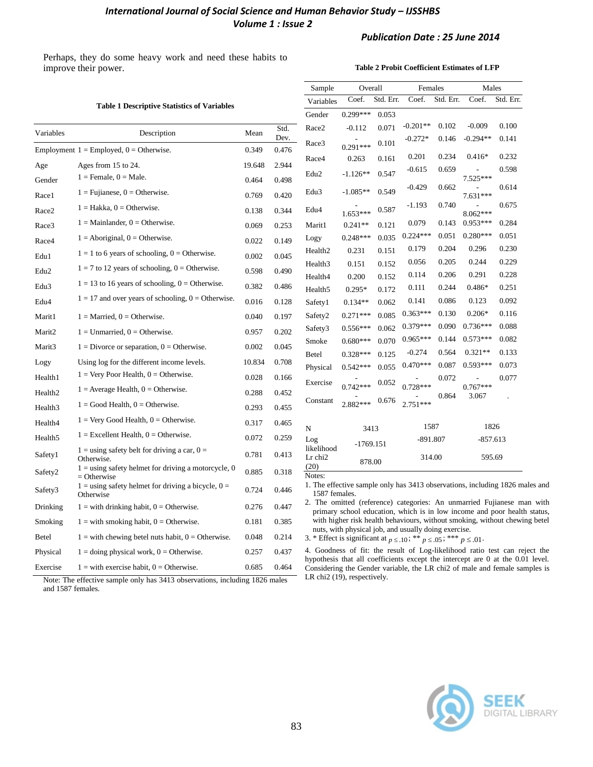### *International Journal of Social Science and Human Behavior Study - IJSSHBS Volume 1 : Issue 2*

### *Publication Date : 25 June 2014*

Perhaps, they do some heavy work and need these habits to improve their power.

l,

#### **Table 2 Probit Coefficient Estimates of LFP**

|           |                                                                        |        |            | Sample<br>Variables                                                                                                                                          | Overall<br>Coef.<br>Std. Err.                                                                                                                      |       | Females<br>Std. Err.<br>Coef. |       | Males<br>Coef.<br>Std. Err. |       |
|-----------|------------------------------------------------------------------------|--------|------------|--------------------------------------------------------------------------------------------------------------------------------------------------------------|----------------------------------------------------------------------------------------------------------------------------------------------------|-------|-------------------------------|-------|-----------------------------|-------|
|           | <b>Table 1 Descriptive Statistics of Variables</b>                     | Gender | $0.299***$ | 0.053                                                                                                                                                        |                                                                                                                                                    |       |                               |       |                             |       |
|           |                                                                        |        | Std.       | Race2                                                                                                                                                        | $-0.112$                                                                                                                                           | 0.071 | $-0.201**$                    | 0.102 | $-0.009$                    | 0.100 |
| Variables | Description                                                            | Mean   | Dev.       | Race3                                                                                                                                                        |                                                                                                                                                    | 0.101 | $-0.272*$                     | 0.146 | $-0.294**$                  | 0.141 |
|           | Employment $1 =$ Employed, $0 =$ Otherwise.                            | 0.349  | 0.476      |                                                                                                                                                              | $0.291***$                                                                                                                                         |       | 0.201                         | 0.234 | $0.416*$                    | 0.232 |
| Age       | Ages from 15 to 24.                                                    | 19.648 | 2.944      | Race4                                                                                                                                                        | 0.263                                                                                                                                              | 0.161 | $-0.615$                      | 0.659 |                             | 0.598 |
| Gender    | $1 =$ Female, $0 =$ Male.                                              | 0.464  | 0.498      | Edu <sub>2</sub>                                                                                                                                             | $-1.126**$                                                                                                                                         | 0.547 |                               |       | 7.525***                    |       |
| Race1     | $1 = \text{Fujianese}, 0 = \text{Otherwise}.$                          | 0.769  | 0.420      | Edu <sub>3</sub>                                                                                                                                             | $-1.085**$                                                                                                                                         | 0.549 | $-0.429$                      | 0.662 | 7.631***                    | 0.614 |
| Race2     | $1 = Hakka$ , $0 = Otherwise$ .                                        | 0.138  | 0.344      | Edu4                                                                                                                                                         | 1.653***                                                                                                                                           | 0.587 | $-1.193$                      | 0.740 | 8.062***                    | 0.675 |
| Race3     | $1 =$ Mainlander, $0 =$ Otherwise.                                     | 0.069  | 0.253      | Marit1                                                                                                                                                       | $0.241**$                                                                                                                                          | 0.121 | 0.079                         | 0.143 | $0.953***$                  | 0.284 |
| Race4     | $1 =$ Aboriginal, $0 =$ Otherwise.                                     | 0.022  | 0.149      | Logy                                                                                                                                                         | $0.248***$                                                                                                                                         | 0.035 | $0.224***$                    | 0.051 | $0.280***$                  | 0.051 |
|           | $1 = 1$ to 6 years of schooling, $0 =$ Otherwise.                      | 0.002  | 0.045      | Health <sub>2</sub>                                                                                                                                          | 0.231                                                                                                                                              | 0.151 | 0.179                         | 0.204 | 0.296                       | 0.230 |
| Edu1      | $1 = 7$ to 12 years of schooling, $0 =$ Otherwise.                     |        |            | Health <sub>3</sub>                                                                                                                                          | 0.151                                                                                                                                              | 0.152 | 0.056                         | 0.205 | 0.244                       | 0.229 |
| Edu2      |                                                                        | 0.598  | 0.490      | Health4                                                                                                                                                      | 0.200                                                                                                                                              | 0.152 | 0.114                         | 0.206 | 0.291                       | 0.228 |
| Edu3      | $1 = 13$ to 16 years of schooling, $0 =$ Otherwise.                    | 0.382  | 0.486      | Health <sub>5</sub>                                                                                                                                          | $0.295*$                                                                                                                                           | 0.172 | 0.111                         | 0.244 | 0.486*                      | 0.251 |
| Edu4      | $1 = 17$ and over years of schooling, $0 =$ Otherwise.                 | 0.016  | 0.128      | Safety1                                                                                                                                                      | $0.134**$                                                                                                                                          | 0.062 | 0.141                         | 0.086 | 0.123                       | 0.092 |
| Marit1    | $1 =$ Married, $0 =$ Otherwise.                                        | 0.040  | 0.197      | Safety <sub>2</sub>                                                                                                                                          | $0.271***$                                                                                                                                         | 0.085 | $0.363***$                    | 0.130 | $0.206*$                    | 0.116 |
| Marit2    | $1 =$ Unmarried, $0 =$ Otherwise.                                      | 0.957  | 0.202      | Safety3                                                                                                                                                      | $0.556***$                                                                                                                                         | 0.062 | $0.379***$                    | 0.090 | $0.736***$                  | 0.088 |
| Marit3    | $1 = Divorce or separation, 0 = Otherwise.$                            | 0.002  | 0.045      | Smoke                                                                                                                                                        | $0.680***$                                                                                                                                         | 0.070 | $0.965***$                    | 0.144 | $0.573***$                  | 0.082 |
| Logy      | Using log for the different income levels.                             | 10.834 | 0.708      | <b>Betel</b>                                                                                                                                                 | $0.328***$                                                                                                                                         | 0.125 | $-0.274$                      | 0.564 | $0.321**$                   | 0.133 |
|           | $1 =$ Very Poor Health, $0 =$ Otherwise.                               |        |            | Physical                                                                                                                                                     | $0.542***$                                                                                                                                         | 0.055 | $0.470***$                    | 0.087 | $0.593***$                  | 0.073 |
| Health1   | $1 =$ Average Health, $0 =$ Otherwise.                                 | 0.028  | 0.166      | Exercise                                                                                                                                                     | $0.742***$                                                                                                                                         | 0.052 | $0.728***$                    | 0.072 | $0.767***$                  | 0.077 |
| Health2   |                                                                        | 0.288  | 0.452      | Constant                                                                                                                                                     |                                                                                                                                                    | 0.676 |                               | 0.864 | 3.067                       |       |
| Health3   | $1 = Good Health$ , $0 = Otherwise$ .                                  | 0.293  | 0.455      |                                                                                                                                                              | 2.882***                                                                                                                                           |       | $2.751***$                    |       |                             |       |
| Health4   | $1 = \text{Very Good Health}, 0 = \text{Otherwise}.$                   | 0.317  | 0.465      | N                                                                                                                                                            | 3413                                                                                                                                               |       | 1587                          |       | 1826                        |       |
| Health5   | $1 =$ Excellent Health, $0 =$ Otherwise.                               | 0.072  | 0.259      | Log                                                                                                                                                          | $-1769.151$                                                                                                                                        |       | $-891.807$                    |       | $-857.613$                  |       |
| Safety1   | $1 =$ using safety belt for driving a car, $0 =$<br>Otherwise.         | 0.781  | 0.413      | likelihood<br>Lr chi <sub>2</sub>                                                                                                                            | 878.00                                                                                                                                             |       | 314.00                        |       | 595.69                      |       |
| Safety2   | $1 =$ using safety helmet for driving a motorcycle, 0<br>$=$ Otherwise | 0.885  | 0.318      | (20)<br>Notes:                                                                                                                                               |                                                                                                                                                    |       |                               |       |                             |       |
| Safety3   | $1 =$ using safety helmet for driving a bicycle, $0 =$<br>Otherwise    | 0.724  | 0.446      | 1. The effective sample only has 3413 observations, including 1826 males and<br>1587 females.                                                                |                                                                                                                                                    |       |                               |       |                             |       |
| Drinking  | $1 =$ with drinking habit, $0 =$ Otherwise.                            | 0.276  | 0.447      |                                                                                                                                                              | 2. The omitted (reference) categories: An unmarried Fujianese man with<br>primary school education, which is in low income and poor health status, |       |                               |       |                             |       |
| Smoking   | $1 =$ with smoking habit, $0 =$ Otherwise.                             | 0.181  | 0.385      | with higher risk health behaviours, without smoking, without chewing betel                                                                                   |                                                                                                                                                    |       |                               |       |                             |       |
| Betel     | $1 =$ with chewing betel nuts habit, $0 =$ Otherwise.                  | 0.048  | 0.214      |                                                                                                                                                              | nuts, with physical job, and usually doing exercise.<br>3. * Effect is significant at $p \le 0.10$ ; ** $p \le 0.05$ ; *** $p \le 0.01$ .          |       |                               |       |                             |       |
| Physical  | $1 =$ doing physical work, $0 =$ Otherwise.                            | 0.257  | 0.437      | 4. Goodness of fit: the result of Log-likelihood ratio test can reject the<br>hypothesis that all coefficients except the intercept are 0 at the 0.01 level. |                                                                                                                                                    |       |                               |       |                             |       |

Exercise  $1 = \text{with exercise habit}, 0 = \text{Otherwise}.$  0.685 0.464 Note: The effective sample only has 3413 observations, including 1826 males and 1587 females.



Considering the Gender variable, the LR chi2 of male and female samples is

LR chi2 (19), respectively.